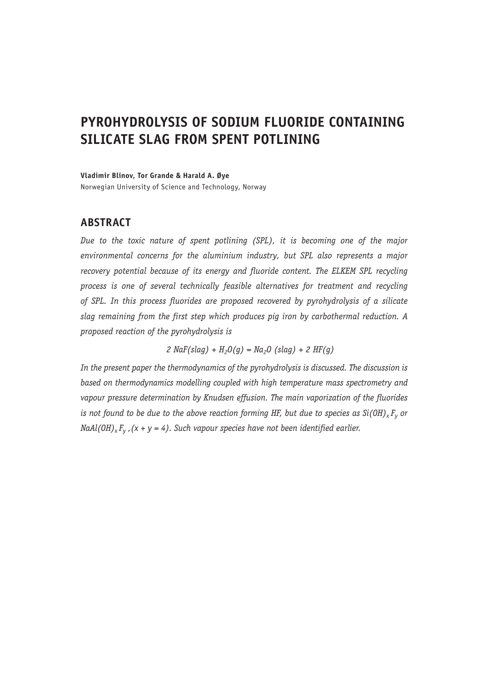# **PYROHYDROLYSIS OF SODIUM FLUORIDE CONTAINING SILICATE SLAG FROM SPENT POTLINING**

**Vladimir Blinov, Tor Grande & Harald A. Øye**

Norwegian University of Science and Technology, Norway

# **ABSTRACT**

*Due to the toxic nature of spent potlining (SPL), it is becoming one of the major environmental concerns for the aluminium industry, but SPL also represents a major*  recovery potential because of its energy and fluoride content. The ELKEM SPL recycling *process is one of several technically feasible alternatives for treatment and recycling of SPL. In this process fluorides are proposed recovered by pyrohydrolysis of a silicate slag remaining from the first step which produces pig iron by carbothermal reduction. A proposed reaction of the pyrohydrolysis is*

 $2$  NaF(slag) +  $H_2O(q) = Na_2O$  (slag) +  $2$  HF(g)

*In the present paper the thermodynamics of the pyrohydrolysis is discussed. The discussion is based on thermodynamics modelling coupled with high temperature mass spectrometry and vapour pressure determination by Knudsen effusion. The main vaporization of the fluorides is not found to be due to the above reaction forming HF, but due to species as Si(OH)<sub>x</sub>*  $F_v$  *or*  $N\alpha A l(OH)_{x} F_{y}$ ,  $(x + y = 4)$ . Such vapour species have not been identified earlier.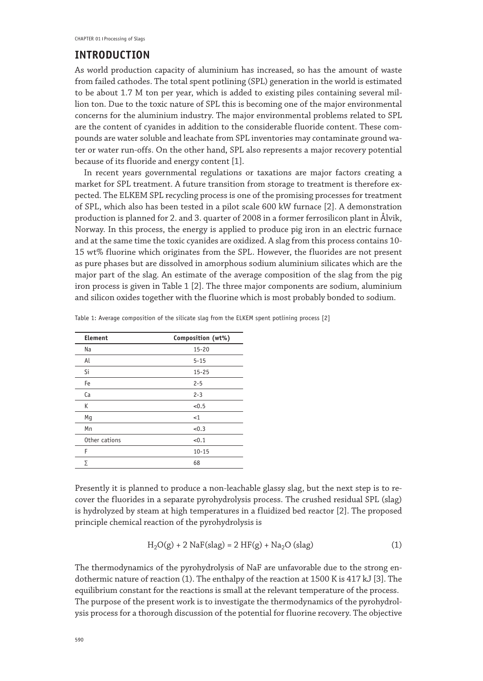## **INTRODUCTION**

As world production capacity of aluminium has increased, so has the amount of waste from failed cathodes. The total spent potlining (SPL) generation in the world is estimated to be about 1.7 M ton per year, which is added to existing piles containing several million ton. Due to the toxic nature of SPL this is becoming one of the major environmental concerns for the aluminium industry. The major environmental problems related to SPL are the content of cyanides in addition to the considerable fluoride content. These compounds are water soluble and leachate from SPL inventories may contaminate ground water or water run-offs. On the other hand, SPL also represents a major recovery potential because of its fluoride and energy content [1].

In recent years governmental regulations or taxations are major factors creating a market for SPL treatment. A future transition from storage to treatment is therefore expected. The ELKEM SPL recycling process is one of the promising processes for treatment of SPL, which also has been tested in a pilot scale 600 kW furnace [2]. A demonstration production is planned for 2. and 3. quarter of 2008 in a former ferrosilicon plant in Ålvik, Norway. In this process, the energy is applied to produce pig iron in an electric furnace and at the same time the toxic cyanides are oxidized. A slag from this process contains 10- 15 wt% fluorine which originates from the SPL. However, the fluorides are not present as pure phases but are dissolved in amorphous sodium aluminium silicates which are the major part of the slag. An estimate of the average composition of the slag from the pig iron process is given in Table 1 [2]. The three major components are sodium, aluminium and silicon oxides together with the fluorine which is most probably bonded to sodium.

| Element       | Composition (wt%) |
|---------------|-------------------|
| Na            | $15 - 20$         |
| Al            | $5 - 15$          |
| Si            | $15 - 25$         |
| Fe            | $2 - 5$           |
| Ca            | $2 - 3$           |
| К             | < 0.5             |
| Mg            | <1                |
| Mn            | < 0.3             |
| Other cations | < 0.1             |
| F             | $10 - 15$         |
| Σ             | 68                |

Table 1: Average composition of the silicate slag from the ELKEM spent potlining process [2]

Presently it is planned to produce a non-leachable glassy slag, but the next step is to recover the fluorides in a separate pyrohydrolysis process. The crushed residual SPL (slag) is hydrolyzed by steam at high temperatures in a fluidized bed reactor [2]. The proposed principle chemical reaction of the pyrohydrolysis is

$$
H2O(g) + 2 NaF(slag) = 2 HF(g) + Na2O (slag)
$$
 (1)

The thermodynamics of the pyrohydrolysis of NaF are unfavorable due to the strong endothermic nature of reaction (1). The enthalpy of the reaction at 1500 K is 417 kJ [3]. The equilibrium constant for the reactions is small at the relevant temperature of the process. The purpose of the present work is to investigate the thermodynamics of the pyrohydrolysis process for a thorough discussion of the potential for fluorine recovery. The objective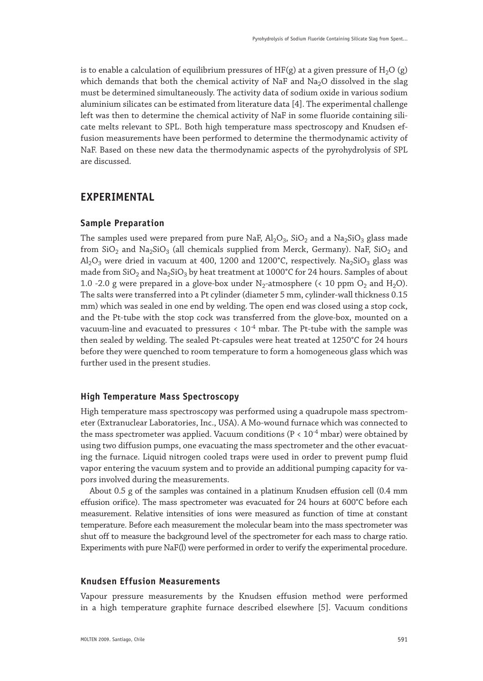is to enable a calculation of equilibrium pressures of HF(g) at a given pressure of H<sub>2</sub>O (g) which demands that both the chemical activity of NaF and Na<sub>2</sub>O dissolved in the slag must be determined simultaneously. The activity data of sodium oxide in various sodium aluminium silicates can be estimated from literature data [4]. The experimental challenge left was then to determine the chemical activity of NaF in some fluoride containing silicate melts relevant to SPL. Both high temperature mass spectroscopy and Knudsen effusion measurements have been performed to determine the thermodynamic activity of NaF. Based on these new data the thermodynamic aspects of the pyrohydrolysis of SPL are discussed.

## **EXPERIMENTAL**

#### **Sample Preparation**

The samples used were prepared from pure NaF,  $Al_2O_3$ , SiO<sub>2</sub> and a Na<sub>2</sub>SiO<sub>3</sub> glass made from  $SiO<sub>2</sub>$  and  $Na<sub>2</sub>SiO<sub>3</sub>$  (all chemicals supplied from Merck, Germany). NaF,  $SiO<sub>2</sub>$  and  $\text{Al}_2\text{O}_3$  were dried in vacuum at 400, 1200 and 1200°C, respectively. Na<sub>2</sub>SiO<sub>3</sub> glass was made from  $SiO<sub>2</sub>$  and Na<sub>2</sub>SiO<sub>3</sub> by heat treatment at 1000°C for 24 hours. Samples of about 1.0 -2.0 g were prepared in a glove-box under  $N_2$ -atmosphere (< 10 ppm  $O_2$  and  $H_2O$ ). The salts were transferred into a Pt cylinder (diameter 5 mm, cylinder-wall thickness 0.15 mm) which was sealed in one end by welding. The open end was closed using a stop cock, and the Pt-tube with the stop cock was transferred from the glove-box, mounted on a vacuum-line and evacuated to pressures  $< 10^{-4}$  mbar. The Pt-tube with the sample was then sealed by welding. The sealed Pt-capsules were heat treated at 1250°C for 24 hours before they were quenched to room temperature to form a homogeneous glass which was further used in the present studies.

#### **High Temperature Mass Spectroscopy**

High temperature mass spectroscopy was performed using a quadrupole mass spectrometer (Extranuclear Laboratories, Inc., USA). A Mo-wound furnace which was connected to the mass spectrometer was applied. Vacuum conditions ( $P < 10^{-4}$  mbar) were obtained by using two diffusion pumps, one evacuating the mass spectrometer and the other evacuating the furnace. Liquid nitrogen cooled traps were used in order to prevent pump fluid vapor entering the vacuum system and to provide an additional pumping capacity for vapors involved during the measurements.

About 0.5 g of the samples was contained in a platinum Knudsen effusion cell (0.4 mm effusion orifice). The mass spectrometer was evacuated for 24 hours at 600°C before each measurement. Relative intensities of ions were measured as function of time at constant temperature. Before each measurement the molecular beam into the mass spectrometer was shut off to measure the background level of the spectrometer for each mass to charge ratio. Experiments with pure NaF(l) were performed in order to verify the experimental procedure.

#### **Knudsen Effusion Measurements**

Vapour pressure measurements by the Knudsen effusion method were performed in a high temperature graphite furnace described elsewhere [5]. Vacuum conditions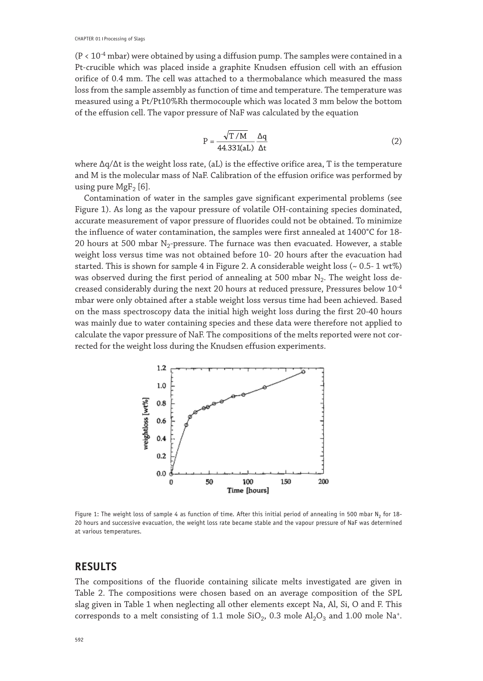$(P < 10^{-4}$  mbar) were obtained by using a diffusion pump. The samples were contained in a Pt-crucible which was placed inside a graphite Knudsen effusion cell with an effusion orifice of 0.4 mm. The cell was attached to a thermobalance which measured the mass loss from the sample assembly as function of time and temperature. The temperature was measured using a Pt/Pt10%Rh thermocouple which was located 3 mm below the bottom of the effusion cell. The vapor pressure of NaF was calculated by the equation

$$
P = \frac{\sqrt{T/M}}{44.331(aL)} \frac{\Delta q}{\Delta t}
$$
 (2)

where ∆q/∆t is the weight loss rate, (aL) is the effective orifice area, T is the temperature and M is the molecular mass of NaF. Calibration of the effusion orifice was performed by using pure  $MgF<sub>2</sub>$  [6].

Contamination of water in the samples gave significant experimental problems (see Figure 1). As long as the vapour pressure of volatile OH-containing species dominated, accurate measurement of vapor pressure of fluorides could not be obtained. To minimize the influence of water contamination, the samples were first annealed at 1400°C for 18- 20 hours at 500 mbar  $N_2$ -pressure. The furnace was then evacuated. However, a stable weight loss versus time was not obtained before 10- 20 hours after the evacuation had started. This is shown for sample 4 in Figure 2. A considerable weight loss  $\left(\sim 0.5\text{-}1 \text{ wt}\% \right)$ was observed during the first period of annealing at 500 mbar  $N_2$ . The weight loss decreased considerably during the next 20 hours at reduced pressure, Pressures below 10-4 mbar were only obtained after a stable weight loss versus time had been achieved. Based on the mass spectroscopy data the initial high weight loss during the first 20-40 hours was mainly due to water containing species and these data were therefore not applied to calculate the vapor pressure of NaF. The compositions of the melts reported were not corrected for the weight loss during the Knudsen effusion experiments.



Figure 1: The weight loss of sample 4 as function of time. After this initial period of annealing in 500 mbar  $N_2$  for 18-20 hours and successive evacuation, the weight loss rate became stable and the vapour pressure of NaF was determined at various temperatures.

## **RESULTS**

The compositions of the fluoride containing silicate melts investigated are given in Table 2. The compositions were chosen based on an average composition of the SPL slag given in Table 1 when neglecting all other elements except Na, Al, Si, O and F. This corresponds to a melt consisting of 1.1 mole  $SiO_2$ , 0.3 mole  $Al_2O_3$  and 1.00 mole Na<sup>+</sup>.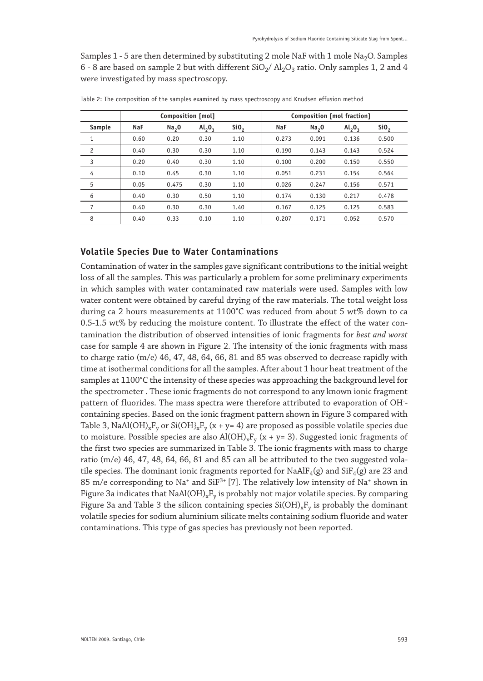Samples 1 - 5 are then determined by substituting 2 mole NaF with 1 mole Na<sub>2</sub>O. Samples 6 - 8 are based on sample 2 but with different  $SiO<sub>2</sub>/ Al<sub>2</sub>O<sub>3</sub>$  ratio. Only samples 1, 2 and 4 were investigated by mass spectroscopy.

|                | Composition [mol] |                   |           | Composition [mol fraction] |            |                   |           |                  |
|----------------|-------------------|-------------------|-----------|----------------------------|------------|-------------------|-----------|------------------|
| Sample         | <b>NaF</b>        | Na <sub>2</sub> 0 | $Al_2O_3$ | SiO <sub>2</sub>           | <b>NaF</b> | Na <sub>2</sub> O | $Al_2O_3$ | SiO <sub>2</sub> |
|                | 0.60              | 0.20              | 0.30      | 1.10                       | 0.273      | 0.091             | 0.136     | 0.500            |
| $\overline{c}$ | 0.40              | 0.30              | 0.30      | 1.10                       | 0.190      | 0.143             | 0.143     | 0.524            |
| 3              | 0.20              | 0.40              | 0.30      | 1.10                       | 0.100      | 0.200             | 0.150     | 0.550            |
| 4              | 0.10              | 0.45              | 0.30      | 1.10                       | 0.051      | 0.231             | 0.154     | 0.564            |
| 5              | 0.05              | 0.475             | 0.30      | 1.10                       | 0.026      | 0.247             | 0.156     | 0.571            |
| 6              | 0.40              | 0.30              | 0.50      | 1.10                       | 0.174      | 0.130             | 0.217     | 0.478            |
| 7              | 0.40              | 0.30              | 0.30      | 1.40                       | 0.167      | 0.125             | 0.125     | 0.583            |
| 8              | 0.40              | 0.33              | 0.10      | 1.10                       | 0.207      | 0.171             | 0.052     | 0.570            |

Table 2: The composition of the samples examined by mass spectroscopy and Knudsen effusion method

#### **Volatile Species Due to Water Contaminations**

Contamination of water in the samples gave significant contributions to the initial weight loss of all the samples. This was particularly a problem for some preliminary experiments in which samples with water contaminated raw materials were used. Samples with low water content were obtained by careful drying of the raw materials. The total weight loss during ca 2 hours measurements at 1100°C was reduced from about 5 wt% down to ca 0.5-1.5 wt% by reducing the moisture content. To illustrate the effect of the water contamination the distribution of observed intensities of ionic fragments for *best and worst*  case for sample 4 are shown in Figure 2. The intensity of the ionic fragments with mass to charge ratio (m/e) 46, 47, 48, 64, 66, 81 and 85 was observed to decrease rapidly with time at isothermal conditions for all the samples. After about 1 hour heat treatment of the samples at 1100°C the intensity of these species was approaching the background level for the spectrometer . These ionic fragments do not correspond to any known ionic fragment pattern of fluorides. The mass spectra were therefore attributed to evaporation of OH- containing species. Based on the ionic fragment pattern shown in Figure 3 compared with Table 3, NaAl(OH)<sub>x</sub>F<sub>y</sub> or Si(OH)<sub>x</sub>F<sub>y</sub> (x + y= 4) are proposed as possible volatile species due to moisture. Possible species are also  $Al(OH)_xF_y$  (x + y= 3). Suggested ionic fragments of the first two species are summarized in Table 3. The ionic fragments with mass to charge ratio  $(m/e)$  46, 47, 48, 64, 66, 81 and 85 can all be attributed to the two suggested volatile species. The dominant ionic fragments reported for  $NaAlF_4(g)$  and  $SiF_4(g)$  are 23 and 85 m/e corresponding to Na<sup>+</sup> and SiF<sup>3+</sup> [7]. The relatively low intensity of Na<sup>+</sup> shown in Figure 3a indicates that  $NaAl(OH)_xF_y$  is probably not major volatile species. By comparing Figure 3a and Table 3 the silicon containing species  $Si(OH)_xF_y$  is probably the dominant volatile species for sodium aluminium silicate melts containing sodium fluoride and water contaminations. This type of gas species has previously not been reported.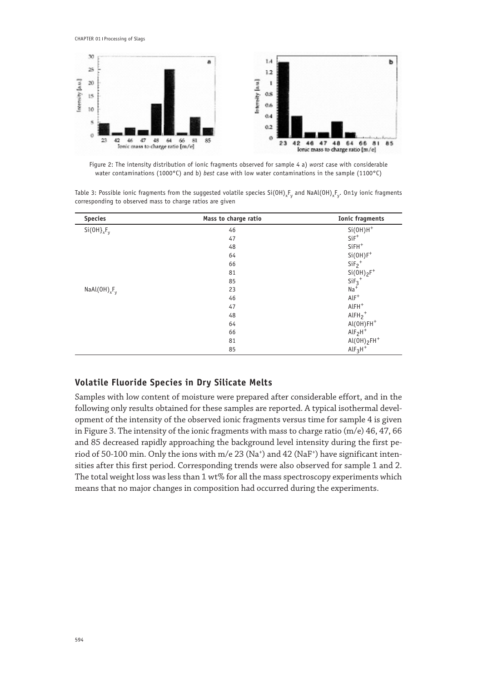CHAPTER 01 | Processing of Slags



Figure 2: The intensity distribution of ionic fragments observed for sample 4 a) *worst* case with considerable water contaminations (1000°C) and b) *best* case with low water contaminations in the sample (1100°C)

Table 3: Possible ionic fragments from the suggested volatile species  $Si(OH)_{x}F_{y}$  and NaAl(OH)<sub>x</sub>F<sub>y</sub>. On1y ionic fragments corresponding to observed mass to charge ratios are given

| <b>Species</b>    | Mass to charge ratio | <b>Ionic fragments</b>  |
|-------------------|----------------------|-------------------------|
| $Si(OH)_{x}F_{v}$ | 46                   | $Si(OH)H^+$             |
|                   | 47                   | $SiF^+$                 |
|                   | 48                   | $SiFH$ <sup>+</sup>     |
|                   | 64                   | $Si(OH)F^+$             |
|                   | 66                   | $SiF2+$                 |
|                   | 81                   | $Si(OH)_{2}F^{+}$       |
|                   | 85                   | $SiF_3$ <sup>+</sup>    |
| $NaAl(OH)_xF_y$   | 23                   | $Na+$                   |
|                   | 46                   | $AlF^+$                 |
|                   | 47                   | $AlFH$ <sup>+</sup>     |
|                   | 48                   | $AlFH_{2}$ <sup>+</sup> |
|                   | 64                   | $AI(OH)FH$ <sup>+</sup> |
|                   | 66                   | $AlF2H+$                |
|                   | 81                   | $Al(OH)_{2}FH^{+}$      |
|                   | 85                   | $AlF3H+$                |

#### **Volatile Fluoride Species in Dry Silicate Melts**

Samples with low content of moisture were prepared after considerable effort, and in the following only results obtained for these samples are reported. A typical isothermal development of the intensity of the observed ionic fragments versus time for sample 4 is given in Figure 3. The intensity of the ionic fragments with mass to charge ratio (m/e) 46, 47, 66 and 85 decreased rapidly approaching the background level intensity during the first period of 50-100 min. Only the ions with  $m/e 23$  (Na<sup>+</sup>) and 42 (NaF<sup>+</sup>) have significant intensities after this first period. Corresponding trends were also observed for sample 1 and 2. The total weight loss was less than 1 wt% for all the mass spectroscopy experiments which means that no major changes in composition had occurred during the experiments.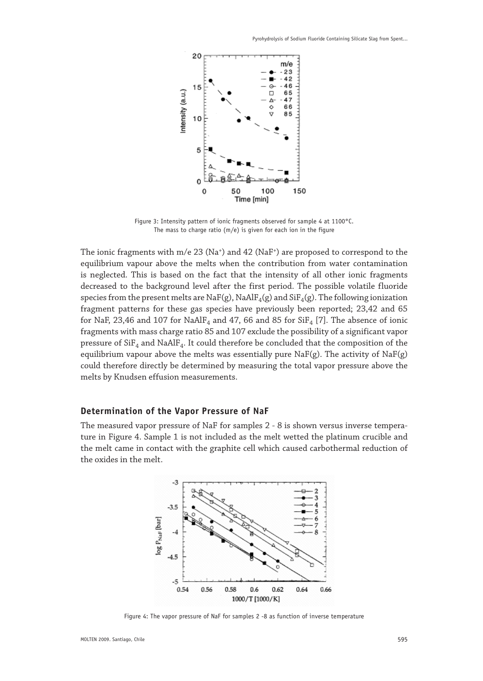

Figure 3: Intensity pattern of ionic fragments observed for sample 4 at 1100°C. The mass to charge ratio  $(m/e)$  is given for each ion in the figure

The ionic fragments with m/e 23 (Na<sup>+</sup>) and 42 (NaF<sup>+</sup>) are proposed to correspond to the equilibrium vapour above the melts when the contribution from water contamination is neglected. This is based on the fact that the intensity of all other ionic fragments decreased to the background level after the first period. The possible volatile fluoride species from the present melts are  $\text{NaF(g)}$ ,  $\text{NaAlF}_4(g)$  and  $\text{SiF}_4(g)$ . The following ionization fragment patterns for these gas species have previously been reported; 23,42 and 65 for NaF, 23,46 and 107 for NaAlF<sub>4</sub> and 47, 66 and 85 for  $SiF_4$  [7]. The absence of ionic fragments with mass charge ratio 85 and 107 exclude the possibility of a significant vapor pressure of  $SiF<sub>4</sub>$  and NaAlF<sub>4</sub>. It could therefore be concluded that the composition of the equilibrium vapour above the melts was essentially pure  $\text{NaF(g)}$ . The activity of  $\text{NaF(g)}$ could therefore directly be determined by measuring the total vapor pressure above the melts by Knudsen effusion measurements.

#### **Determination of the Vapor Pressure of NaF**

The measured vapor pressure of NaF for samples 2 - 8 is shown versus inverse temperature in Figure 4. Sample 1 is not included as the melt wetted the platinum crucible and the melt came in contact with the graphite cell which caused carbothermal reduction of the oxides in the melt.



Figure 4: The vapor pressure of NaF for samples 2 -8 as function of inverse temperature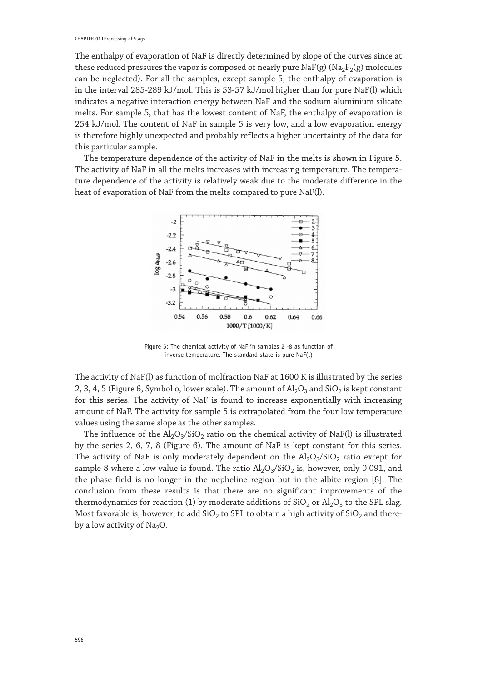The enthalpy of evaporation of NaF is directly determined by slope of the curves since at these reduced pressures the vapor is composed of nearly pure  $\text{NaF}(g)$  ( $\text{Na}_2\text{F}_2(g)$  molecules can be neglected). For all the samples, except sample 5, the enthalpy of evaporation is in the interval 285-289 kJ/mol. This is 53-57 kJ/mol higher than for pure NaF(l) which indicates a negative interaction energy between NaF and the sodium aluminium silicate melts. For sample 5, that has the lowest content of NaF, the enthalpy of evaporation is 254 kJ/mol. The content of NaF in sample 5 is very low, and a low evaporation energy is therefore highly unexpected and probably reflects a higher uncertainty of the data for this particular sample.

The temperature dependence of the activity of NaF in the melts is shown in Figure 5. The activity of NaF in all the melts increases with increasing temperature. The temperature dependence of the activity is relatively weak due to the moderate difference in the heat of evaporation of NaF from the melts compared to pure NaF(l).



Figure 5: The chemical activity of NaF in samples 2 -8 as function of inverse temperature. The standard state is pure NaF(l)

The activity of NaF(l) as function of molfraction NaF at 1600 K is illustrated by the series 2, 3, 4, 5 (Figure 6, Symbol o, lower scale). The amount of  $Al_2O_3$  and  $SiO_2$  is kept constant for this series. The activity of NaF is found to increase exponentially with increasing amount of NaF. The activity for sample 5 is extrapolated from the four low temperature values using the same slope as the other samples.

The influence of the  $\text{Al}_2\text{O}_3/\text{SiO}_2$  ratio on the chemical activity of NaF(l) is illustrated by the series 2, 6, 7, 8 (Figure 6). The amount of NaF is kept constant for this series. The activity of NaF is only moderately dependent on the  $Al_2O_3/SiO_2$  ratio except for sample 8 where a low value is found. The ratio  $\text{Al}_2\text{O}_3/\text{SiO}_2$  is, however, only 0.091, and the phase field is no longer in the nepheline region but in the albite region [8]. The conclusion from these results is that there are no significant improvements of the thermodynamics for reaction (1) by moderate additions of  $SiO<sub>2</sub>$  or  $Al<sub>2</sub>O<sub>3</sub>$  to the SPL slag. Most favorable is, however, to add  $\text{SiO}_2$  to SPL to obtain a high activity of  $\text{SiO}_2$  and thereby a low activity of  $Na<sub>2</sub>O$ .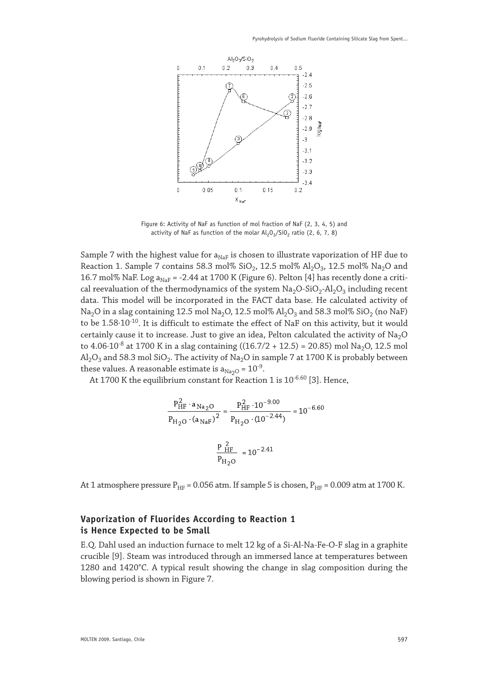

Figure 6: Activity of NaF as function of mol fraction of NaF (2, 3, 4, 5) and activity of NaF as function of the molar  $Al_2O_3/SiO_2$  ratio (2, 6, 7, 8)

Sample 7 with the highest value for  $a_{NaF}$  is chosen to illustrate vaporization of HF due to Reaction 1. Sample 7 contains 58.3 mol%  $SiO_2$ , 12.5 mol%  $Al_2O_3$ , 12.5 mol% Na<sub>2</sub>O and 16.7 mol% NaF. Log  $a_{\text{NaF}}$  = -2.44 at 1700 K (Figure 6). Pelton [4] has recently done a critical reevaluation of the thermodynamics of the system  $Na<sub>2</sub>O<sub>2</sub>-SiO<sub>2</sub>-Al<sub>2</sub>O<sub>3</sub>$  including recent data. This model will be incorporated in the FACT data base. He calculated activity of Na<sub>2</sub>O in a slag containing 12.5 mol Na<sub>2</sub>O, 12.5 mol% Al<sub>2</sub>O<sub>3</sub> and 58.3 mol% SiO<sub>2</sub> (no NaF) to be 1.58⋅10<sup>-10</sup>. It is difficult to estimate the effect of NaF on this activity, but it would certainly cause it to increase. Just to give an idea, Pelton calculated the activity of  $Na<sub>2</sub>O$ to 4.06⋅10<sup>-8</sup> at 1700 K in a slag containing ((16.7/2 + 12.5) = 20.85) mol Na<sub>2</sub>O, 12.5 mol  $\text{Al}_2\text{O}_3$  and 58.3 mol SiO<sub>2</sub>. The activity of Na<sub>2</sub>O in sample 7 at 1700 K is probably between these values. A reasonable estimate is  $a_{\text{Na}_2\text{O}} = 10^{-9}$ .

At 1700 K the equilibrium constant for Reaction 1 is 10-6.60 [3]. Hence,

$$
\frac{P_{HF}^2 \cdot a_{Na_2O}}{P_{H_2O} \cdot (a_{NaF})^2} = \frac{P_{HF}^2 \cdot 10^{-9.00}}{P_{H_2O} \cdot (10^{-2.44})} = 10^{-6.60}
$$

$$
\frac{P_{HF}^2}{P_{H_2O}} = 10^{-2.41}
$$

At 1 atmosphere pressure  $P_{HF} = 0.056$  atm. If sample 5 is chosen,  $P_{HF} = 0.009$  atm at 1700 K.

## **Vaporization of Fluorides According to Reaction 1 is Hence Expected to be Small**

E.Q. Dahl used an induction furnace to melt 12 kg of a Si-Al-Na-Fe-O-F slag in a graphite crucible [9]. Steam was introduced through an immersed lance at temperatures between 1280 and 1420°C. A typical result showing the change in slag composition during the blowing period is shown in Figure 7.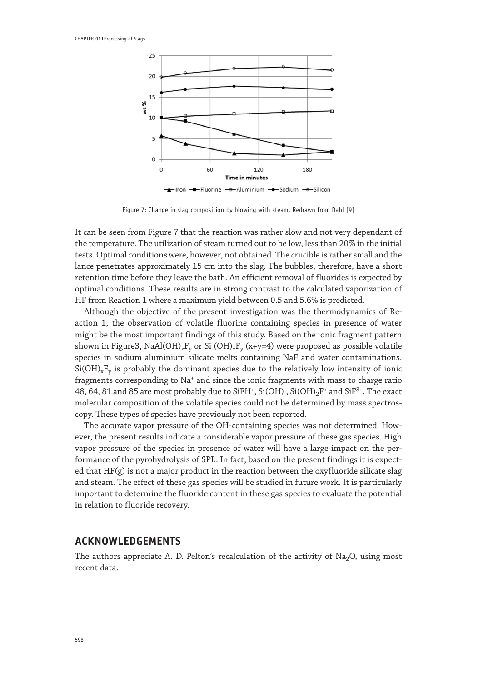

Figure 7: Change in slag composition by blowing with steam. Redrawn from Dahl [9]

It can be seen from Figure 7 that the reaction was rather slow and not very dependant of the temperature. The utilization of steam turned out to be low, less than 20% in the initial tests. Optimal conditions were, however, not obtained. The crucible is rather small and the lance penetrates approximately 15 cm into the slag. The bubbles, therefore, have a short retention time before they leave the bath. An efficient removal of fluorides is expected by optimal conditions. These results are in strong contrast to the calculated vaporization of HF from Reaction 1 where a maximum yield between 0.5 and 5.6% is predicted.

Although the objective of the present investigation was the thermodynamics of Reaction 1, the observation of volatile fluorine containing species in presence of water might be the most important findings of this study. Based on the ionic fragment pattern shown in Figure3, NaAl(OH)<sub>x</sub>F<sub>y</sub> or Si (OH)<sub>x</sub>F<sub>y</sub> (x+y=4) were proposed as possible volatile species in sodium aluminium silicate melts containing NaF and water contaminations.  $Si(OH)_xF_y$  is probably the dominant species due to the relatively low intensity of ionic fragments corresponding to Na<sup>+</sup> and since the ionic fragments with mass to charge ratio 48, 64, 81 and 85 are most probably due to SiFH<sup>+</sup>, Si(OH)<sup>-</sup>, Si(OH)<sub>2</sub>F<sup>+</sup> and SiF<sup>3+</sup>. The exact molecular composition of the volatile species could not be determined by mass spectroscopy. These types of species have previously not been reported.

The accurate vapor pressure of the OH-containing species was not determined. However, the present results indicate a considerable vapor pressure of these gas species. High vapor pressure of the species in presence of water will have a large impact on the performance of the pyrohydrolysis of SPL. In fact, based on the present findings it is expected that HF(g) is not a major product in the reaction between the oxyfluoride silicate slag and steam. The effect of these gas species will be studied in future work. It is particularly important to determine the fluoride content in these gas species to evaluate the potential in relation to fluoride recovery.

## **ACKNOWLEDGEMENTS**

The authors appreciate A. D. Pelton's recalculation of the activity of  $Na<sub>2</sub>O$ , using most recent data.